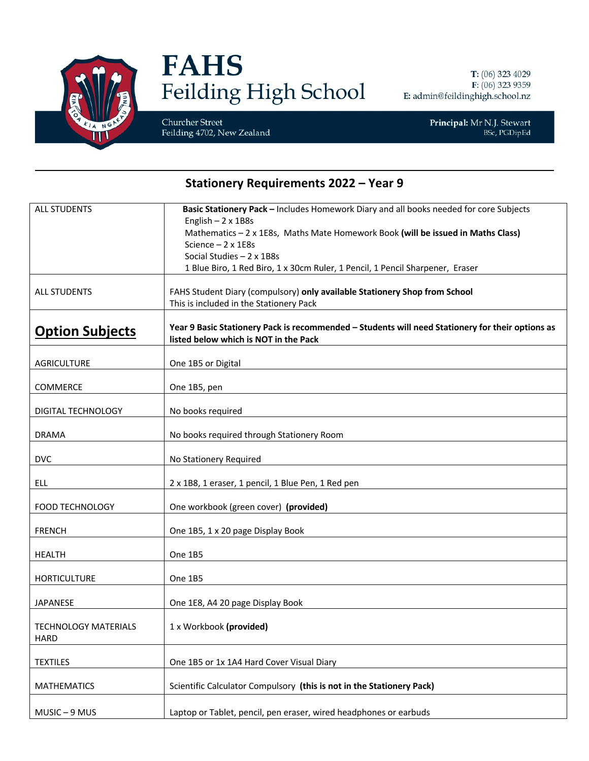

## **FAHS** Feilding High School

Churcher Street Feilding 4702, New Zealand

Principal: Mr N.J. Stewart BSc, PGDipEd

## **Stationery Requirements 2022 - Year 9**

| <b>ALL STUDENTS</b>         | Basic Stationery Pack - Includes Homework Diary and all books needed for core Subjects                       |
|-----------------------------|--------------------------------------------------------------------------------------------------------------|
|                             | English $-2 \times 1B8s$                                                                                     |
|                             | Mathematics - 2 x 1E8s, Maths Mate Homework Book (will be issued in Maths Class)<br>Science $-2 \times 1E8s$ |
|                             | Social Studies $-2 \times 1B8s$                                                                              |
|                             | 1 Blue Biro, 1 Red Biro, 1 x 30cm Ruler, 1 Pencil, 1 Pencil Sharpener, Eraser                                |
|                             |                                                                                                              |
| <b>ALL STUDENTS</b>         | FAHS Student Diary (compulsory) only available Stationery Shop from School                                   |
|                             | This is included in the Stationery Pack                                                                      |
|                             | Year 9 Basic Stationery Pack is recommended - Students will need Stationery for their options as             |
| <b>Option Subjects</b>      | listed below which is NOT in the Pack                                                                        |
|                             |                                                                                                              |
| <b>AGRICULTURE</b>          | One 1B5 or Digital                                                                                           |
|                             |                                                                                                              |
| COMMERCE                    | One 1B5, pen                                                                                                 |
| DIGITAL TECHNOLOGY          | No books required                                                                                            |
|                             |                                                                                                              |
| <b>DRAMA</b>                | No books required through Stationery Room                                                                    |
|                             |                                                                                                              |
| <b>DVC</b>                  | No Stationery Required                                                                                       |
| ELL                         | 2 x 1B8, 1 eraser, 1 pencil, 1 Blue Pen, 1 Red pen                                                           |
|                             |                                                                                                              |
| <b>FOOD TECHNOLOGY</b>      | One workbook (green cover) (provided)                                                                        |
|                             |                                                                                                              |
| <b>FRENCH</b>               | One 1B5, 1 x 20 page Display Book                                                                            |
| <b>HEALTH</b>               | One 1B5                                                                                                      |
|                             |                                                                                                              |
| <b>HORTICULTURE</b>         | One 1B5                                                                                                      |
| <b>JAPANESE</b>             | One 1E8, A4 20 page Display Book                                                                             |
|                             |                                                                                                              |
| <b>TECHNOLOGY MATERIALS</b> | 1 x Workbook (provided)                                                                                      |
| <b>HARD</b>                 |                                                                                                              |
|                             |                                                                                                              |
| <b>TEXTILES</b>             | One 1B5 or 1x 1A4 Hard Cover Visual Diary                                                                    |
| <b>MATHEMATICS</b>          | Scientific Calculator Compulsory (this is not in the Stationery Pack)                                        |
|                             |                                                                                                              |
| MUSIC-9 MUS                 | Laptop or Tablet, pencil, pen eraser, wired headphones or earbuds                                            |